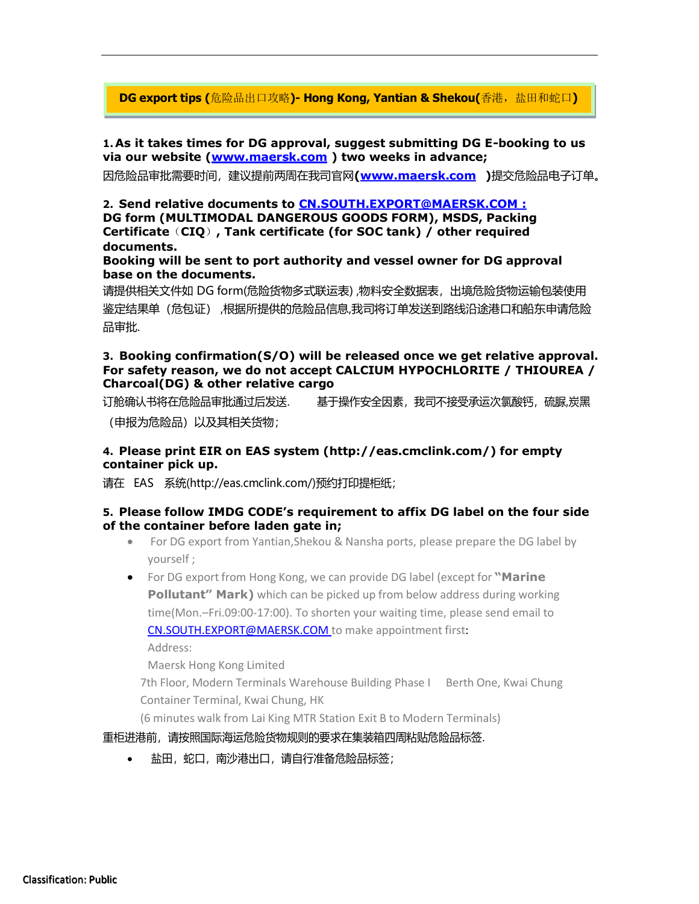**DG export tips (**危险品出口攻略**)- Hong Kong, Yantian & Shekou(**香港,盐田和蛇口**)**

**1.As it takes times for DG approval, suggest submitting DG E-booking to us via our website [\(www.maersk.com](http://www.maersk.com/) ) two weeks in advance;**

因危险品审批需要时间,建议提前两周在我司官网**[\(www.maersk.com](http://www.maersk.com/) )**提交危险品电子订单。

**2. Send relative documents to [CN.SOUTH.EXPORT@MAERSK.COM :](mailto:CN.SOUTH.EXPORT@MAERSK.COM) DG form (MULTIMODAL DANGEROUS GOODS FORM), MSDS, Packing Certificate**(**CIQ**)**, Tank certificate (for SOC tank) / other required documents.**

**Booking will be sent to port authority and vessel owner for DG approval base on the documents.**

请提供相关文件如 DG form(危险货物多式联运表) ,物料安全数据表,出境危险货物运输包装使用 鉴定结果单(危包证) ,根据所提供的危险品信息,我司将订单发送到路线沿途港口和船东申请危险 品审批.

#### **3. Booking confirmation(S/O) will be released once we get relative approval. For safety reason, we do not accept CALCIUM HYPOCHLORITE / THIOUREA / Charcoal(DG) & other relative cargo**

订舱确认书将在危险品审批通过后发送. 基于操作安全因素,我司不接受承运次氯酸钙,硫脲,炭黑

(申报为危险品)以及其相关货物;

### **4. Please print EIR on EAS system [\(http://eas.cmclink.com/\)](http://eas.cmclink.com/)) for empty container pick up.**

请在 EAS 系统[\(http://eas.cmclink.com/\)](http://eas.cmclink.com/)预约打印提柜纸)预约打印提柜纸;

#### **5. Please follow IMDG CODE's requirement to affix DG label on the four side of the container before laden gate in;**

• For DG export from Yantian,Shekou & Nansha ports, please prepare the DG label by yourself ;

• For DG export from Hong Kong, we can provide DG label (except for **"Marine Pollutant" Mark)** which can be picked up from below address during working time(Mon.–Fri.09:00-17:00). To shorten your waiting time, please send email to [CN.SOUTH.EXPORT@MAERSK.COM](mailto:CN.SOUTH.EXPORT@MAERSK.COM) to make appointment first: Address:

Maersk Hong Kong Limited

7th Floor, Modern Terminals Warehouse Building Phase I Berth One, Kwai Chung Container Terminal, Kwai Chung, HK

(6 minutes walk from Lai King MTR Station Exit B to Modern Terminals)

重柜进港前,请按照国际海运危险货物规则的要求在集装箱四周粘贴危险品标签.

盐田,蛇口,南沙港出口,请自行准备危险品标签;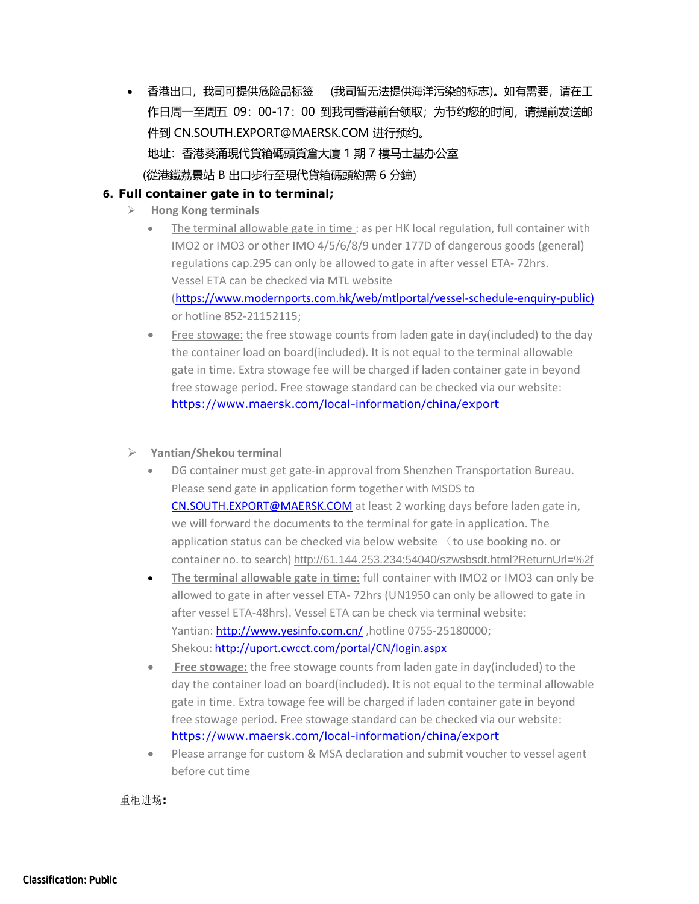• 香港出口,我司可提供危险品标签 (我司暂无法提供海洋污染的标志)。如有需要,请在工 作日周一至周五 09:00-17:00 到我司香港前台领取;为节约您的时间,请提前发送邮 件到 [CN.SOUTH.EXPORT@MAERSK.COM](mailto:CN.SOUTH.EXPORT@MAERSK.COM) 进行预约。 地址:香港葵涌現代貨箱碼頭貨倉大廈 1 期 7 樓马士基办公室 (從港鐵荔景站 B 出口步行至現代貨箱碼頭約需 6 分鐘)

# **6. Full container gate in to terminal;**

- ➢ **Hong Kong terminals**
	- The terminal allowable gate in time : as per HK local regulation, full container with IMO2 or IMO3 or other IMO 4/5/6/8/9 under 177D of dangerous goods (general) regulations cap.295 can only be allowed to gate in after vessel ETA- 72hrs. Vessel ETA can be checked via MTL website [\(https://www.modernports.com.hk/web/mtlportal/vessel-schedule-enquiry-public\)](https://www.modernports.com.hk/web/mtlportal/vessel-schedule-enquiry-public) or hotline 852-21152115;
	- Free stowage: the free stowage counts from laden gate in day(included) to the day the container load on board(included). It is not equal to the terminal allowable gate in time. Extra stowage fee will be charged if laden container gate in beyond free stowage period. Free stowage standard can be checked via our website: <https://www.maersk.com/local-information/china/export>
- ➢ **Yantian/Shekou terminal**
	- DG container must get gate-in approval from Shenzhen Transportation Bureau. Please send gate in application form together with MSDS to [CN.SOUTH.EXPORT@MAERSK.COM](mailto:CN.SOUTH.EXPORT@MAERSK.COM) at least 2 working days before laden gate in, we will forward the documents to the terminal for gate in application. The application status can be checked via below website (to use booking no. or container no. to search) http://61.144.253.234:54040/szwsbsdt.html?ReturnUrl=%2f
	- **The terminal allowable gate in time:** full container with IMO2 or IMO3 can only be allowed to gate in after vessel ETA- 72hrs (UN1950 can only be allowed to gate in after vessel ETA-48hrs). Vessel ETA can be check via terminal website: Yantian:<http://www.yesinfo.com.cn/>, hotline 0755-25180000; Shekou: <http://uport.cwcct.com/portal/CN/login.aspx>
	- **Free stowage:** the free stowage counts from laden gate in day(included) to the day the container load on board(included). It is not equal to the terminal allowable gate in time. Extra towage fee will be charged if laden container gate in beyond free stowage period. Free stowage standard can be checked via our website: <https://www.maersk.com/local-information/china/export>
	- Please arrange for custom & MSA declaration and submit voucher to vessel agent before cut time

重柜进场**:**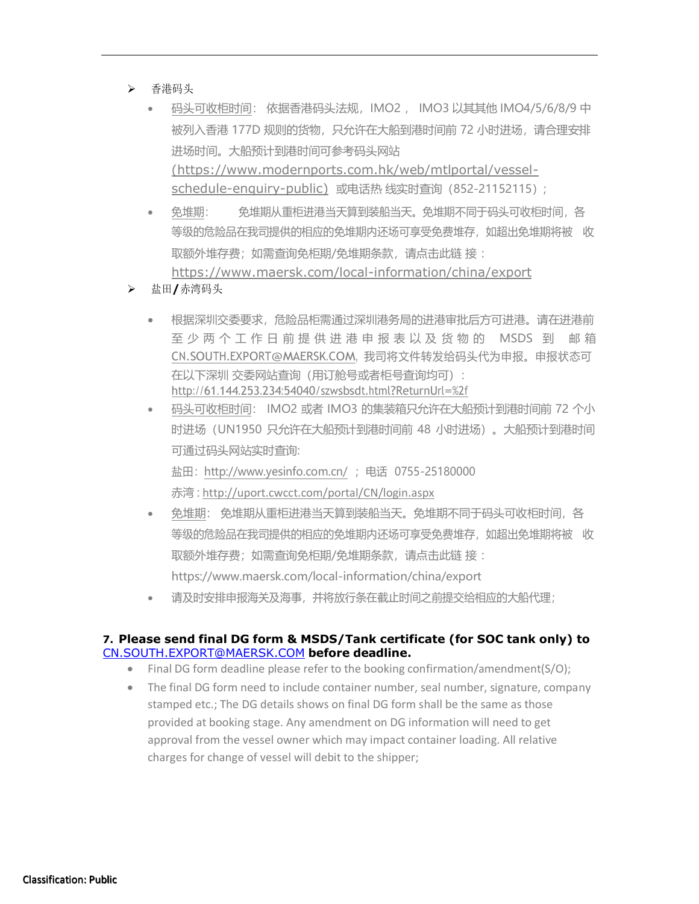- ➢ 香港码头
	- 码头可收柜时间: 依据香港码头法规,IMO2 , IMO3 以其其他 IMO4/5/6/8/9 中 被列入香港 177D 规则的货物,只允许在大船到港时间前 72 小时进场,请合理安排 进场时间。大船预计到港时间可参考码头网站 [\(https://www.modernports.com.hk/web/mtlportal/vessel](https://www.modernports.com.hk/web/mtlportal/vessel-schedule-enquiry-public)[schedule-enquiry-public\)](https://www.modernports.com.hk/web/mtlportal/vessel-schedule-enquiry-public) 或电话热 线实时查询(852-21152115);
	- 免堆期: 免堆期从重柜进港当天算到装船当天。免堆期不同于码头可收柜时间,各 等级的危险品在我司提供的相应的免堆期内还场可享受免费堆存,如超出免堆期将被 收 取额外堆存费;如需查询免柜期/免堆期条款,请点击此链 接 : <https://www.maersk.com/local-information/china/export>
- ➢ 盐田**/**赤湾码头
	- 根据深圳交委要求,危险品柜需通过深圳港务局的进港审批后方可进港。请在进港前 至 少 两 个 工 作 日 前 提 供 进 港 申 报 表 以 及 货 物 的 MSDS 到 邮 箱 [CN.SOUTH.EXPORT@MAERSK.COM,](mailto:CN.SOUTH.EXPORT@MAERSK.COM) 我司将文件转发给码头代为申报。申报状态可 在以下深圳 交委网站查询(用订舱号或者柜号查询均可): http://61.144.253.234:54040/szwsbsdt.html?ReturnUrl=%2f
	- 码头可收柜时间: IMO2 或者 IMO3 的集装箱只允许在大船预计到港时间前 72 个小 时进场(UN1950 只允许在大船预计到港时间前 48 小时进场)。大船预计到港时间 可通过码头网站实时查询: 盐田:<http://www.yesinfo.com.cn/> ; 电话 0755-25180000
		- 赤湾 : <http://uport.cwcct.com/portal/CN/login.aspx>
	- 免堆期: 免堆期从重柜进港当天算到装船当天。免堆期不同于码头可收柜时间,各 等级的危险品在我司提供的相应的免堆期内还场可享受免费堆存,如超出免堆期将被 收 取额外堆存费;如需查询免柜期/免堆期条款,请点击此链 接 : <https://www.maersk.com/local-information/china/export>
	- 请及时安排申报海关及海事,并将放行条在截止时间之前提交给相应的大船代理;

## **7. Please send final DG form & MSDS/Tank certificate (for SOC tank only) to** [CN.SOUTH.EXPORT@MAERSK.COM](mailto:CN.SOUTH.EXPORT@MAERSK.COM) **before deadline.**

- Final DG form deadline please refer to the booking confirmation/amendment(S/O);
- The final DG form need to include container number, seal number, signature, company stamped etc.; The DG details shows on final DG form shall be the same as those provided at booking stage. Any amendment on DG information will need to get approval from the vessel owner which may impact container loading. All relative charges for change of vessel will debit to the shipper;